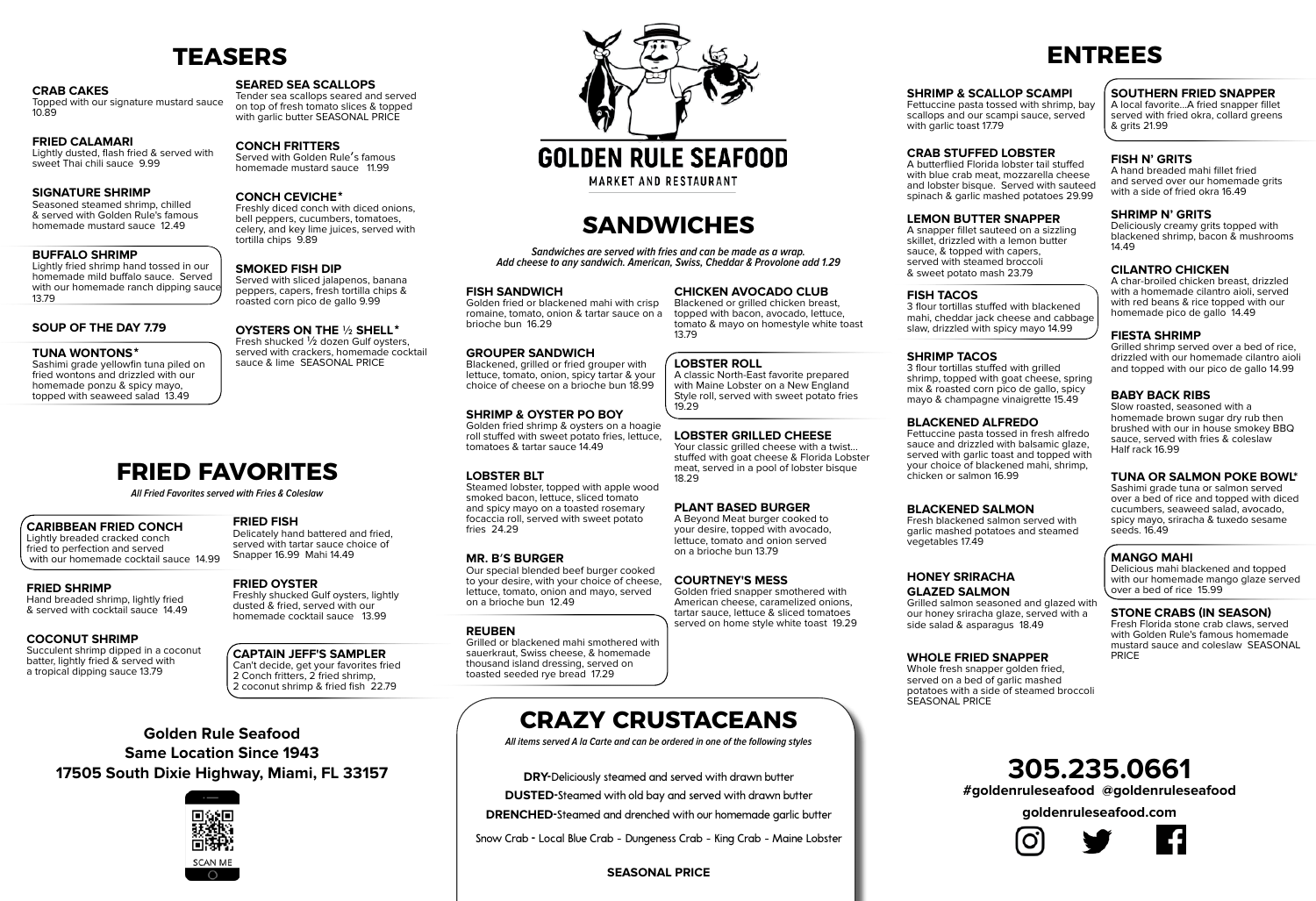# **305.235.0661**

**#goldenruleseafood @goldenruleseafood**

**goldenruleseafood.com**







## **Golden Rule Seafood Same Location Since 1943 17505 South Dixie Highway, Miami, FL 33157**



# **GOLDEN RULE SEAFOOD**

**MARKET AND RESTAURANT** 

## **TEASERS**

#### **Crab Cakes**

Topped with our signature mustard sauce 10.89

#### **Fried Calamari**

Lightly dusted, flash fried & served with sweet Thai chili sauce 9.99

#### **Signature Shrimp**

**TUNA WONTONS**<sup>\*</sup><br>Sashimi grade yellowfin tuna piled on fried wontons and drizzled with our homemade ponzu & spicy mayo, topped with seaweed salad 13.49

Tender sea scallops seared and served on top of fresh tomato slices & topped with garlic butter SEASONAL PRICE

Seasoned steamed shrimp, chilled & served with Golden Rule's famous homemade mustard sauce 12.49

#### **Buffalo Shrimp**

Lightly fried shrimp hand tossed in our homemade mild buffalo sauce. Served with our homemade ranch dipping sauce 13.79

#### **Soup of the Day 7.79**

Served with sliced jalapenos, banana peppers, capers, fresh tortilla chips & roasted corn pico de gallo 9.99

## **OYSTERS ON THE** 1/2 **SHELL**\*<br>Fresh shucked 1/2 dozen Gulf oysters,

#### **Seared Sea Scallops**

#### **Conch Fritters**

Served with Golden Rule's famous homemade mustard sauce 11.99

**CONCH CEVICHE<sup>\*</sup>**<br>Freshly diced conch with diced onions, bell peppers, cucumbers, tomatoes, celery, and key lime juices, served with tortilla chips 9.89

#### **Smoked Fish Dip**

served with crackers, homemade cocktail sauce & lime SEASONAL PRICE

## **FRIED FAVORITES**

**All Fried Favorites served with Fries & Coleslaw**

#### **Caribbean Fried Conch**

Lightly breaded cracked conch fried to perfection and served with our homemade cocktail sauce 14.99

**Fried Shrimp** Hand breaded shrimp, lightly fried & served with cocktail sauce 14.49

#### **Coconut Shrimp**

Succulent shrimp dipped in a coconut batter, lightly fried & served with a tropical dipping sauce 13.79

#### **Fried Fish**

Delicately hand battered and fried, served with tartar sauce choice of Snapper 16.99 Mahi 14.49

#### **Fried Oyster**

Freshly shucked Gulf oysters, lightly dusted & fried, served with our homemade cocktail sauce 13.99

A char-broiled chicken breast, drizzled with a homemade cilantro aioli, served with red beans & rice topped with our homemade pico de gallo 14.49

#### **Captain Jeff's Sampler**

Can't decide, get your favorites fried 2 Conch fritters, 2 fried shrimp, 2 coconut shrimp & fried fish 22.79

#### **Shrimp & Scallop Scampi**

Fettuccine pasta tossed with shrimp, bay scallops and our scampi sauce, served with garlic toast 17.79

#### **crab stuffed lobster**

A butterflied Florida lobster tail stuffed with blue crab meat, mozzarella cheese and lobster bisque. Served with sauteed spinach & garlic mashed potatoes 29.99

#### **Lemon Butter Snapper**

A snapper fillet sauteed on a sizzling skillet, drizzled with a lemon butter sauce, & topped with capers, served with steamed broccoli & sweet potato mash 23.79

#### **Fish Tacos**

3 flour tortillas stuffed with blackened mahi, cheddar jack cheese and cabbage slaw, drizzled with spicy mayo 14.99

#### **Shrimp Tacos**

3 flour tortillas stuffed with grilled shrimp, topped with goat cheese, spring mix & roasted corn pico de gallo, spicy mayo & champagne vinaigrette 15.49

#### **Blackened Alfredo**

Fettuccine pasta tossed in fresh alfredo sauce and drizzled with balsamic glaze, served with garlic toast and topped with your choice of blackened mahi, shrimp, chicken or salmon 16.99

#### **Blackened Salmon**

Your classic grilled cheese with a twist... stuffed with goat cheese & Florida Lobster meat, served in a pool of lobster bisque 18.29

> Fresh blackened salmon served with garlic mashed potatoes and steamed vegetables 17.49

#### **Honey Sriracha Glazed Salmon**

Grilled salmon seasoned and glazed with our honey sriracha glaze, served with a side salad & asparagus 18.49

#### **Whole Fried Snapper**

Whole fresh snapper golden fried, served on a bed of garlic mashed potatoes with a side of steamed broccoli SEASONAL PRICE

#### **southern fried snapper**

A local favorite...A fried snapper fillet served with fried okra, collard greens & grits 21.99

#### **fish n' grits**

A hand breaded mahi fillet fried and served over our homemade grits with a side of fried okra 16.49

#### **shrimp n' grits**

Deliciously creamy grits topped with blackened shrimp, bacon & mushrooms 14.49

#### **Cilantro Chicken**

#### **Fiesta Shrimp**

Grilled shrimp served over a bed of rice, drizzled with our homemade cilantro aioli and topped with our pico de gallo 14.99

#### **Baby Back Ribs**

Slow roasted, seasoned with a homemade brown sugar dry rub then brushed with our in house smokey BBQ sauce, served with fries & coleslaw Half rack 16.99

### **TUNA OR SALMON POKE BOWL\***

Sashimi grade tuna or salmon served over a bed of rice and topped with diced cucumbers, seaweed salad, avocado, spicy mayo, sriracha & tuxedo sesame seeds. 16.49

#### **MANGO MAHI**

Delicious mahi blackened and topped with our homemade mango glaze served over a bed of rice 15.99

#### **Stone Crabs (In Season)**

Fresh Florida stone crab claws, served with Golden Rule's famous homemade mustard sauce and coleslaw SEASONAL PRICE

## **SANDWICHES**

**Sandwiches are served with fries and can be made as a wrap. Add cheese to any sandwich. American, Swiss, Cheddar & Provolone add 1.29**

#### **Fish Sandwich**

Golden fried or blackened mahi with crisp romaine, tomato, onion & tartar sauce on a brioche bun 16.29

#### **Grouper Sandwich**

Blackened, grilled or fried grouper with lettuce, tomato, onion, spicy tartar & your choice of cheese on a brioche bun 18.99

#### **Shrimp & Oyster Po Boy**

Golden fried shrimp & oysters on a hoagie roll stuffed with sweet potato fries, lettuce, tomatoes & tartar sauce 14.49

#### **Lobster BLT**

Steamed lobster, topped with apple wood smoked bacon, lettuce, sliced tomato and spicy mayo on a toasted rosemary focaccia roll, served with sweet potato fries 24.29

#### **Mr. B**'**s Burger**

Our special blended beef burger cooked to your desire, with your choice of cheese, lettuce, tomato, onion and mayo, served on a brioche bun 12.49

#### **Reuben**

Grilled or blackened mahi smothered with sauerkraut, Swiss cheese, & homemade thousand island dressing, served on toasted seeded rye bread 17.29

#### **Chicken avocado club**

Blackened or grilled chicken breast, topped with bacon, avocado, lettuce, tomato & mayo on homestyle white toast 13.79

#### **Lobster Roll**

A classic North-East favorite prepared with Maine Lobster on a New England Style roll, served with sweet potato fries 19.29

#### **lobster grilled cheese**

#### **plant based burger**

A Beyond Meat burger cooked to your desire, topped with avocado, lettuce, tomato and onion served on a brioche bun 13.79

#### **COURTNEY'S MESS**

Golden fried snapper smothered with American cheese, caramelized onions, tartar sauce, lettuce & sliced tomatoes served on home style white toast 19.29

## **CRAZY CRUSTACEANS**

**All items served A la Carte and can be ordered in one of the following styles**

**DRY-**Deliciously steamed and served with drawn butter

**DUSTED-**Steamed with old bay and served with drawn butter

**DRENCHED-**Steamed and drenched with our homemade garlic butter

Snow Crab **-** Local Blue Crab - Dungeness Crab - King Crab - Maine Lobster

#### **SEASONAL PRICE**